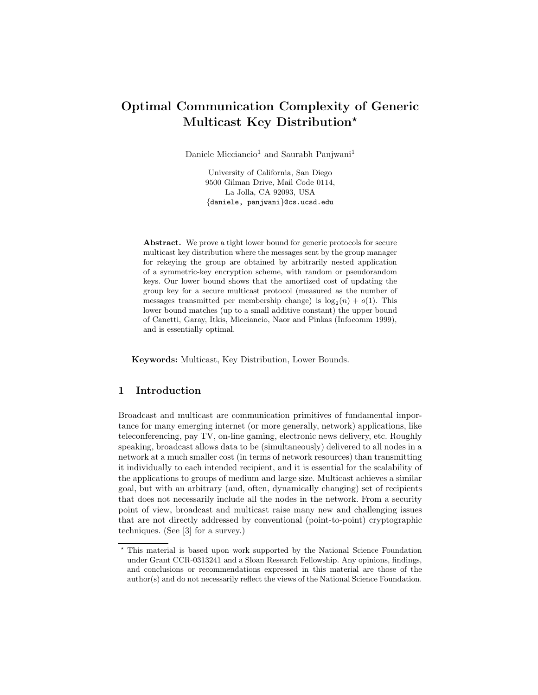# Optimal Communication Complexity of Generic Multicast Key Distribution?

Daniele Micciancio<sup>1</sup> and Saurabh Panjwani<sup>1</sup>

University of California, San Diego 9500 Gilman Drive, Mail Code 0114, La Jolla, CA 92093, USA {daniele, panjwani}@cs.ucsd.edu

Abstract. We prove a tight lower bound for generic protocols for secure multicast key distribution where the messages sent by the group manager for rekeying the group are obtained by arbitrarily nested application of a symmetric-key encryption scheme, with random or pseudorandom keys. Our lower bound shows that the amortized cost of updating the group key for a secure multicast protocol (measured as the number of messages transmitted per membership change) is  $log_2(n) + o(1)$ . This lower bound matches (up to a small additive constant) the upper bound of Canetti, Garay, Itkis, Micciancio, Naor and Pinkas (Infocomm 1999), and is essentially optimal.

Keywords: Multicast, Key Distribution, Lower Bounds.

# 1 Introduction

Broadcast and multicast are communication primitives of fundamental importance for many emerging internet (or more generally, network) applications, like teleconferencing, pay TV, on-line gaming, electronic news delivery, etc. Roughly speaking, broadcast allows data to be (simultaneously) delivered to all nodes in a network at a much smaller cost (in terms of network resources) than transmitting it individually to each intended recipient, and it is essential for the scalability of the applications to groups of medium and large size. Multicast achieves a similar goal, but with an arbitrary (and, often, dynamically changing) set of recipients that does not necessarily include all the nodes in the network. From a security point of view, broadcast and multicast raise many new and challenging issues that are not directly addressed by conventional (point-to-point) cryptographic techniques. (See [3] for a survey.)

<sup>?</sup> This material is based upon work supported by the National Science Foundation under Grant CCR-0313241 and a Sloan Research Fellowship. Any opinions, findings, and conclusions or recommendations expressed in this material are those of the author(s) and do not necessarily reflect the views of the National Science Foundation.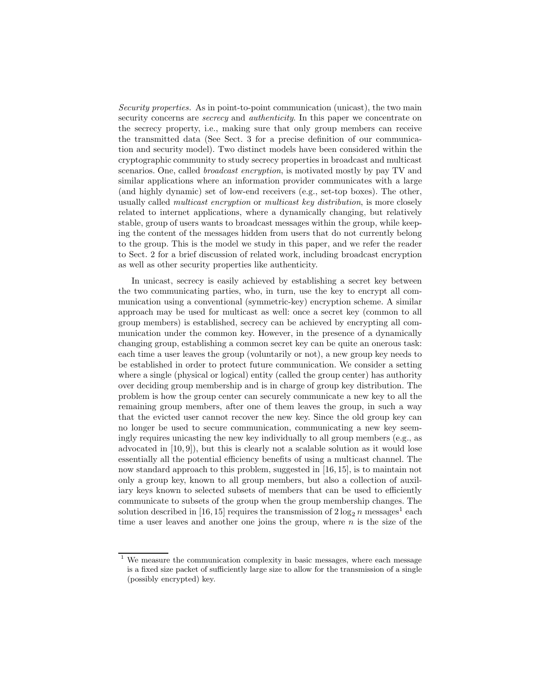Security properties. As in point-to-point communication (unicast), the two main security concerns are *secrecy* and *authenticity*. In this paper we concentrate on the secrecy property, i.e., making sure that only group members can receive the transmitted data (See Sect. 3 for a precise definition of our communication and security model). Two distinct models have been considered within the cryptographic community to study secrecy properties in broadcast and multicast scenarios. One, called broadcast encryption, is motivated mostly by pay TV and similar applications where an information provider communicates with a large (and highly dynamic) set of low-end receivers (e.g., set-top boxes). The other, usually called multicast encryption or multicast key distribution, is more closely related to internet applications, where a dynamically changing, but relatively stable, group of users wants to broadcast messages within the group, while keeping the content of the messages hidden from users that do not currently belong to the group. This is the model we study in this paper, and we refer the reader to Sect. 2 for a brief discussion of related work, including broadcast encryption as well as other security properties like authenticity.

In unicast, secrecy is easily achieved by establishing a secret key between the two communicating parties, who, in turn, use the key to encrypt all communication using a conventional (symmetric-key) encryption scheme. A similar approach may be used for multicast as well: once a secret key (common to all group members) is established, secrecy can be achieved by encrypting all communication under the common key. However, in the presence of a dynamically changing group, establishing a common secret key can be quite an onerous task: each time a user leaves the group (voluntarily or not), a new group key needs to be established in order to protect future communication. We consider a setting where a single (physical or logical) entity (called the group center) has authority over deciding group membership and is in charge of group key distribution. The problem is how the group center can securely communicate a new key to all the remaining group members, after one of them leaves the group, in such a way that the evicted user cannot recover the new key. Since the old group key can no longer be used to secure communication, communicating a new key seemingly requires unicasting the new key individually to all group members (e.g., as advocated in  $[10, 9]$ , but this is clearly not a scalable solution as it would lose essentially all the potential efficiency benefits of using a multicast channel. The now standard approach to this problem, suggested in [16, 15], is to maintain not only a group key, known to all group members, but also a collection of auxiliary keys known to selected subsets of members that can be used to efficiently communicate to subsets of the group when the group membership changes. The solution described in [16, 15] requires the transmission of  $2\log_2 n$  messages<sup>1</sup> each time a user leaves and another one joins the group, where  $n$  is the size of the

 $^{\rm 1}$  We measure the communication complexity in basic messages, where each message is a fixed size packet of sufficiently large size to allow for the transmission of a single (possibly encrypted) key.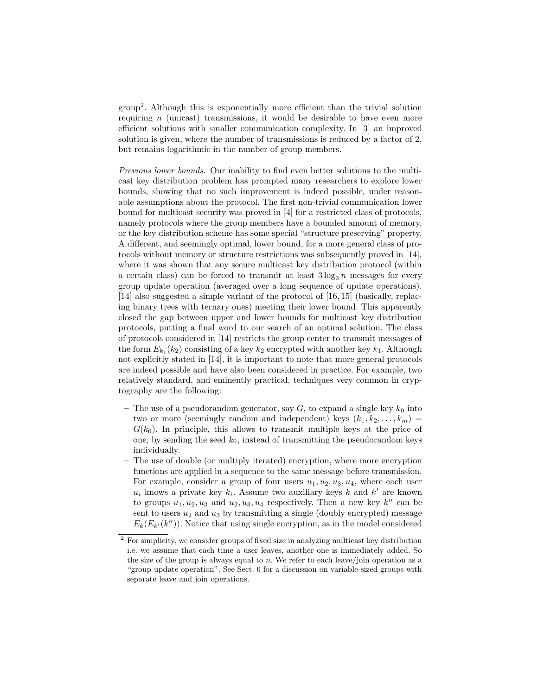group<sup>2</sup> . Although this is exponentially more efficient than the trivial solution requiring  $n$  (unicast) transmissions, it would be desirable to have even more efficient solutions with smaller communication complexity. In [3] an improved solution is given, where the number of transmissions is reduced by a factor of 2, but remains logarithmic in the number of group members.

Previous lower bounds. Our inability to find even better solutions to the multicast key distribution problem has prompted many researchers to explore lower bounds, showing that no such improvement is indeed possible, under reasonable assumptions about the protocol. The first non-trivial communication lower bound for multicast security was proved in [4] for a restricted class of protocols, namely protocols where the group members have a bounded amount of memory, or the key distribution scheme has some special "structure preserving" property. A different, and seemingly optimal, lower bound, for a more general class of protocols without memory or structure restrictions was subsequently proved in [14], where it was shown that any secure multicast key distribution protocol (within a certain class) can be forced to transmit at least  $3 \log_3 n$  messages for every group update operation (averaged over a long sequence of update operations). [14] also suggested a simple variant of the protocol of [16, 15] (basically, replacing binary trees with ternary ones) meeting their lower bound. This apparently closed the gap between upper and lower bounds for multicast key distribution protocols, putting a final word to our search of an optimal solution. The class of protocols considered in [14] restricts the group center to transmit messages of the form  $E_{k_1}(k_2)$  consisting of a key  $k_2$  encrypted with another key  $k_1$ . Although not explicitly stated in [14], it is important to note that more general protocols are indeed possible and have also been considered in practice. For example, two relatively standard, and eminently practical, techniques very common in cryptography are the following:

- The use of a pseudorandom generator, say  $G$ , to expand a single key  $k_0$  into two or more (seemingly random and independent) keys  $(k_1, k_2, \ldots, k_m)$  $G(k_0)$ . In principle, this allows to transmit multiple keys at the price of one, by sending the seed  $k_0$ , instead of transmitting the pseudorandom keys individually.
- The use of double (or multiply iterated) encryption, where more encryption functions are applied in a sequence to the same message before transmission. For example, consider a group of four users  $u_1, u_2, u_3, u_4$ , where each user  $u_i$  knows a private key  $k_i$ . Assume two auxiliary keys k and  $k'$  are known to groups  $u_1, u_2, u_3$  and  $u_2, u_3, u_4$  respectively. Then a new key  $k''$  can be sent to users  $u_2$  and  $u_3$  by transmitting a single (doubly encrypted) message  $E_k(E_{k'}(k''))$ . Notice that using single encryption, as in the model considered

<sup>2</sup> For simplicity, we consider groups of fixed size in analyzing multicast key distribution i.e. we assume that each time a user leaves, another one is immediately added. So the size of the group is always equal to  $n$ . We refer to each leave/join operation as a "group update operation". See Sect. 6 for a discussion on variable-sized groups with separate leave and join operations.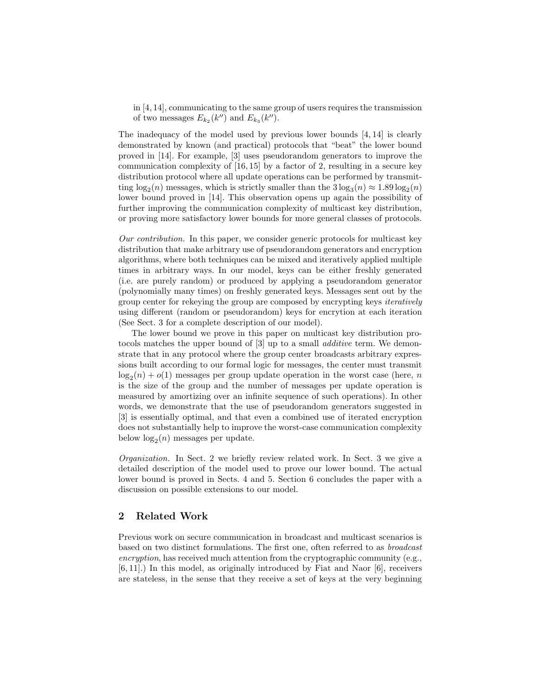in [4, 14], communicating to the same group of users requires the transmission of two messages  $E_{k_2}(k'')$  and  $E_{k_3}(k'')$ .

The inadequacy of the model used by previous lower bounds [4, 14] is clearly demonstrated by known (and practical) protocols that "beat" the lower bound proved in [14]. For example, [3] uses pseudorandom generators to improve the communication complexity of  $[16, 15]$  by a factor of 2, resulting in a secure key distribution protocol where all update operations can be performed by transmitting  $\log_2(n)$  messages, which is strictly smaller than the  $3\log_3(n) \approx 1.89 \log_2(n)$ lower bound proved in [14]. This observation opens up again the possibility of further improving the communication complexity of multicast key distribution, or proving more satisfactory lower bounds for more general classes of protocols.

Our contribution. In this paper, we consider generic protocols for multicast key distribution that make arbitrary use of pseudorandom generators and encryption algorithms, where both techniques can be mixed and iteratively applied multiple times in arbitrary ways. In our model, keys can be either freshly generated (i.e. are purely random) or produced by applying a pseudorandom generator (polynomially many times) on freshly generated keys. Messages sent out by the group center for rekeying the group are composed by encrypting keys iteratively using different (random or pseudorandom) keys for encrytion at each iteration (See Sect. 3 for a complete description of our model).

The lower bound we prove in this paper on multicast key distribution protocols matches the upper bound of [3] up to a small additive term. We demonstrate that in any protocol where the group center broadcasts arbitrary expressions built according to our formal logic for messages, the center must transmit  $log_2(n) + o(1)$  messages per group update operation in the worst case (here, n is the size of the group and the number of messages per update operation is measured by amortizing over an infinite sequence of such operations). In other words, we demonstrate that the use of pseudorandom generators suggested in [3] is essentially optimal, and that even a combined use of iterated encryption does not substantially help to improve the worst-case communication complexity below  $log_2(n)$  messages per update.

Organization. In Sect. 2 we briefly review related work. In Sect. 3 we give a detailed description of the model used to prove our lower bound. The actual lower bound is proved in Sects. 4 and 5. Section 6 concludes the paper with a discussion on possible extensions to our model.

# 2 Related Work

Previous work on secure communication in broadcast and multicast scenarios is based on two distinct formulations. The first one, often referred to as broadcast encryption, has received much attention from the cryptographic community (e.g., [6, 11].) In this model, as originally introduced by Fiat and Naor [6], receivers are stateless, in the sense that they receive a set of keys at the very beginning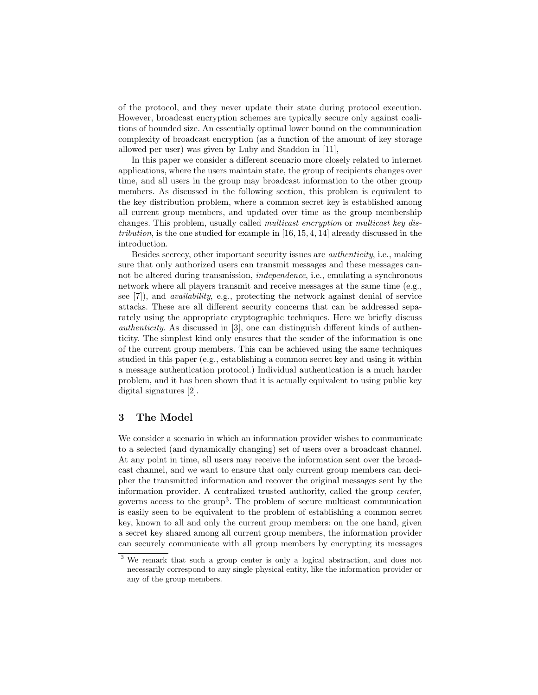of the protocol, and they never update their state during protocol execution. However, broadcast encryption schemes are typically secure only against coalitions of bounded size. An essentially optimal lower bound on the communication complexity of broadcast encryption (as a function of the amount of key storage allowed per user) was given by Luby and Staddon in [11],

In this paper we consider a different scenario more closely related to internet applications, where the users maintain state, the group of recipients changes over time, and all users in the group may broadcast information to the other group members. As discussed in the following section, this problem is equivalent to the key distribution problem, where a common secret key is established among all current group members, and updated over time as the group membership changes. This problem, usually called multicast encryption or multicast key distribution, is the one studied for example in  $[16, 15, 4, 14]$  already discussed in the introduction.

Besides secrecy, other important security issues are authenticity, i.e., making sure that only authorized users can transmit messages and these messages cannot be altered during transmission, independence, i.e., emulating a synchronous network where all players transmit and receive messages at the same time (e.g., see [7]), and availability, e.g., protecting the network against denial of service attacks. These are all different security concerns that can be addressed separately using the appropriate cryptographic techniques. Here we briefly discuss authenticity. As discussed in [3], one can distinguish different kinds of authenticity. The simplest kind only ensures that the sender of the information is one of the current group members. This can be achieved using the same techniques studied in this paper (e.g., establishing a common secret key and using it within a message authentication protocol.) Individual authentication is a much harder problem, and it has been shown that it is actually equivalent to using public key digital signatures [2].

# 3 The Model

We consider a scenario in which an information provider wishes to communicate to a selected (and dynamically changing) set of users over a broadcast channel. At any point in time, all users may receive the information sent over the broadcast channel, and we want to ensure that only current group members can decipher the transmitted information and recover the original messages sent by the information provider. A centralized trusted authority, called the group center, governs access to the group<sup>3</sup> . The problem of secure multicast communication is easily seen to be equivalent to the problem of establishing a common secret key, known to all and only the current group members: on the one hand, given a secret key shared among all current group members, the information provider can securely communicate with all group members by encrypting its messages

<sup>3</sup> We remark that such a group center is only a logical abstraction, and does not necessarily correspond to any single physical entity, like the information provider or any of the group members.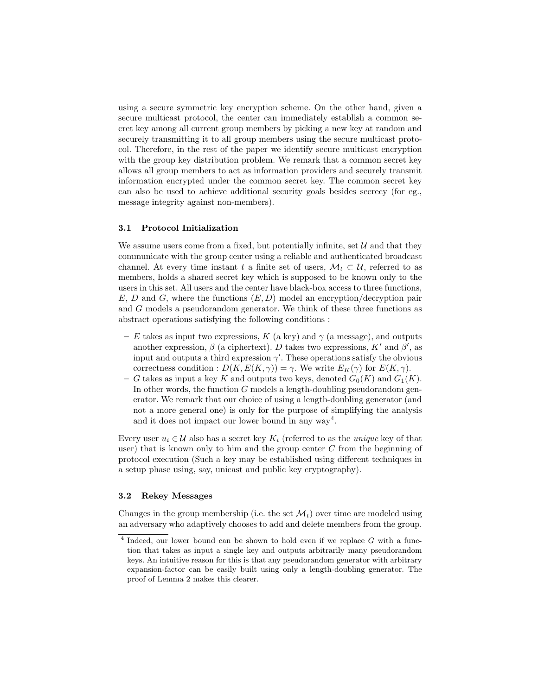using a secure symmetric key encryption scheme. On the other hand, given a secure multicast protocol, the center can immediately establish a common secret key among all current group members by picking a new key at random and securely transmitting it to all group members using the secure multicast protocol. Therefore, in the rest of the paper we identify secure multicast encryption with the group key distribution problem. We remark that a common secret key allows all group members to act as information providers and securely transmit information encrypted under the common secret key. The common secret key can also be used to achieve additional security goals besides secrecy (for eg., message integrity against non-members).

#### 3.1 Protocol Initialization

We assume users come from a fixed, but potentially infinite, set  $U$  and that they communicate with the group center using a reliable and authenticated broadcast channel. At every time instant t a finite set of users,  $\mathcal{M}_t \subset \mathcal{U}$ , referred to as members, holds a shared secret key which is supposed to be known only to the users in this set. All users and the center have black-box access to three functions, E, D and G, where the functions  $(E, D)$  model an encryption/decryption pair and G models a pseudorandom generator. We think of these three functions as abstract operations satisfying the following conditions :

- E takes as input two expressions, K (a key) and  $\gamma$  (a message), and outputs another expression,  $\beta$  (a ciphertext). D takes two expressions, K' and  $\beta'$ , as input and outputs a third expression  $\gamma'$ . These operations satisfy the obvious correctness condition :  $D(K, E(K, \gamma)) = \gamma$ . We write  $E_K(\gamma)$  for  $E(K, \gamma)$ .
- G takes as input a key K and outputs two keys, denoted  $G_0(K)$  and  $G_1(K)$ . In other words, the function  $G$  models a length-doubling pseudorandom generator. We remark that our choice of using a length-doubling generator (and not a more general one) is only for the purpose of simplifying the analysis and it does not impact our lower bound in any way<sup>4</sup>.

Every user  $u_i \in \mathcal{U}$  also has a secret key  $K_i$  (referred to as the *unique* key of that user) that is known only to him and the group center  $C$  from the beginning of protocol execution (Such a key may be established using different techniques in a setup phase using, say, unicast and public key cryptography).

#### 3.2 Rekey Messages

Changes in the group membership (i.e. the set  $\mathcal{M}_t$ ) over time are modeled using an adversary who adaptively chooses to add and delete members from the group.

 $<sup>4</sup>$  Indeed, our lower bound can be shown to hold even if we replace  $G$  with a func-</sup> tion that takes as input a single key and outputs arbitrarily many pseudorandom keys. An intuitive reason for this is that any pseudorandom generator with arbitrary expansion-factor can be easily built using only a length-doubling generator. The proof of Lemma 2 makes this clearer.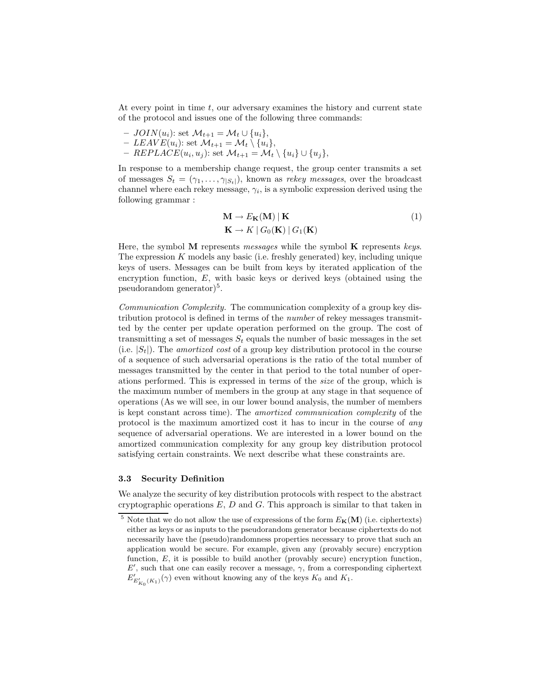At every point in time  $t$ , our adversary examines the history and current state of the protocol and issues one of the following three commands:

- $J OIN(u_i)$ : set  $\mathcal{M}_{t+1} = \mathcal{M}_t \cup \{u_i\},\$
- $-LEAVE(u_i):$  set  $\mathcal{M}_{t+1} = \mathcal{M}_t \setminus \{u_i\},$
- $-$  REPLACE $(u_i, u_j)$ : set  $\mathcal{M}_{t+1} = \mathcal{M}_t \setminus \{u_i\} \cup \{u_j\},$

In response to a membership change request, the group center transmits a set of messages  $S_t = (\gamma_1, \ldots, \gamma_{|S_t|}),$  known as rekey messages, over the broadcast channel where each rekey message,  $\gamma_i$ , is a symbolic expression derived using the following grammar :

$$
\mathbf{M} \to E_{\mathbf{K}}(\mathbf{M}) \mid \mathbf{K}
$$
  
\n
$$
\mathbf{K} \to K \mid G_0(\mathbf{K}) \mid G_1(\mathbf{K})
$$
\n(1)

Here, the symbol  $M$  represents *messages* while the symbol  $K$  represents keys. The expression  $K$  models any basic (i.e. freshly generated) key, including unique keys of users. Messages can be built from keys by iterated application of the encryption function,  $E$ , with basic keys or derived keys (obtained using the pseudorandom generator)<sup>5</sup>.

Communication Complexity. The communication complexity of a group key distribution protocol is defined in terms of the number of rekey messages transmitted by the center per update operation performed on the group. The cost of transmitting a set of messages  $S_t$  equals the number of basic messages in the set (i.e.  $|S_t|$ ). The *amortized cost* of a group key distribution protocol in the course of a sequence of such adversarial operations is the ratio of the total number of messages transmitted by the center in that period to the total number of operations performed. This is expressed in terms of the size of the group, which is the maximum number of members in the group at any stage in that sequence of operations (As we will see, in our lower bound analysis, the number of members is kept constant across time). The amortized communication complexity of the protocol is the maximum amortized cost it has to incur in the course of any sequence of adversarial operations. We are interested in a lower bound on the amortized communication complexity for any group key distribution protocol satisfying certain constraints. We next describe what these constraints are.

#### 3.3 Security Definition

We analyze the security of key distribution protocols with respect to the abstract cryptographic operations  $E, D$  and  $G$ . This approach is similar to that taken in

 $5$  Note that we do not allow the use of expressions of the form  $E_{\mathbf{K}}(\mathbf{M})$  (i.e. ciphertexts) either as keys or as inputs to the pseudorandom generator because ciphertexts do not necessarily have the (pseudo)randomness properties necessary to prove that such an application would be secure. For example, given any (provably secure) encryption function,  $E$ , it is possible to build another (provably secure) encryption function,  $E'$ , such that one can easily recover a message,  $\gamma$ , from a corresponding ciphertext  $E'_{E'_{K_0}(K_1)}(\gamma)$  even without knowing any of the keys  $K_0$  and  $K_1$ .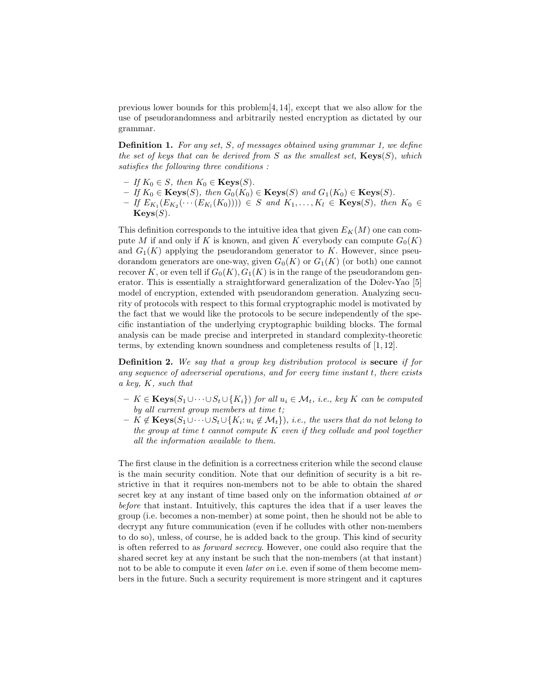previous lower bounds for this problem[4, 14], except that we also allow for the use of pseudorandomness and arbitrarily nested encryption as dictated by our grammar.

Definition 1. For any set, S, of messages obtained using grammar 1, we define the set of keys that can be derived from S as the smallest set,  $\mathbf{Keys}(S)$ , which satisfies the following three conditions :

- If  $K_0 \in S$ , then  $K_0 \in \textbf{Keys}(S)$ .
- $-$  If  $K_0 \in \textbf{Keys}(S)$ , then  $G_0(K_0) \in \textbf{Keys}(S)$  and  $G_1(K_0) \in \textbf{Keys}(S)$ .
- $-$  If  $E_{K_1}(E_{K_2}(\cdots(E_{K_l}(K_0)))) \in S$  and  $K_1,\ldots,K_l \in \textbf{Keys}(S)$ , then  $K_0 \in$  $\mathbf{Keys}(S)$ .

This definition corresponds to the intuitive idea that given  $E_K(M)$  one can compute M if and only if K is known, and given K everybody can compute  $G_0(K)$ and  $G_1(K)$  applying the pseudorandom generator to K. However, since pseudorandom generators are one-way, given  $G_0(K)$  or  $G_1(K)$  (or both) one cannot recover K, or even tell if  $G_0(K)$ ,  $G_1(K)$  is in the range of the pseudorandom generator. This is essentially a straightforward generalization of the Dolev-Yao [5] model of encryption, extended with pseudorandom generation. Analyzing security of protocols with respect to this formal cryptographic model is motivated by the fact that we would like the protocols to be secure independently of the specific instantiation of the underlying cryptographic building blocks. The formal analysis can be made precise and interpreted in standard complexity-theoretic terms, by extending known soundness and completeness results of [1, 12].

Definition 2. We say that a group key distribution protocol is secure if for any sequence of adverserial operations, and for every time instant t, there exists a key, K, such that

- $K \in \textbf{Keys}(S_1 \cup \cdots \cup S_t \cup \{K_i\})$  for all  $u_i \in \mathcal{M}_t$ , i.e., key K can be computed by all current group members at time t;
- $K \notin \textbf{Keys}(S_1 \cup \cdots \cup S_t \cup \{K_i: u_i \notin \mathcal{M}_t\}), \text{ i.e., the users that do not belong to }$ the group at time  $t$  cannot compute  $K$  even if they collude and pool together all the information available to them.

The first clause in the definition is a correctness criterion while the second clause is the main security condition. Note that our definition of security is a bit restrictive in that it requires non-members not to be able to obtain the shared secret key at any instant of time based only on the information obtained at or before that instant. Intuitively, this captures the idea that if a user leaves the group (i.e. becomes a non-member) at some point, then he should not be able to decrypt any future communication (even if he colludes with other non-members to do so), unless, of course, he is added back to the group. This kind of security is often referred to as forward secrecy. However, one could also require that the shared secret key at any instant be such that the non-members (at that instant) not to be able to compute it even *later on* i.e. even if some of them become members in the future. Such a security requirement is more stringent and it captures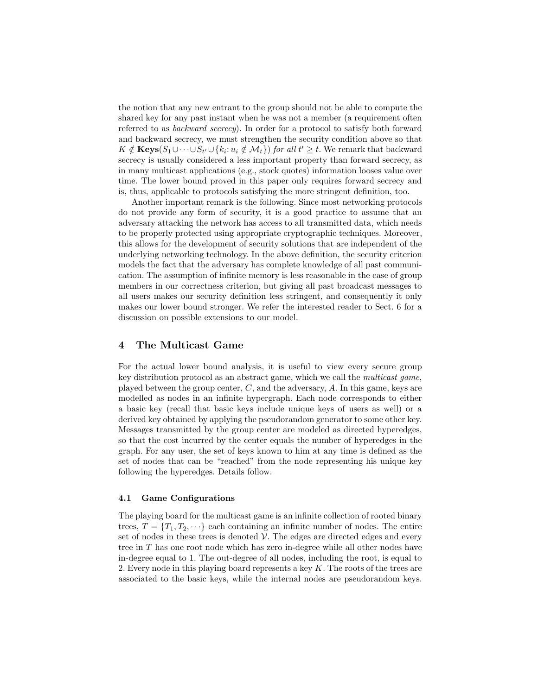the notion that any new entrant to the group should not be able to compute the shared key for any past instant when he was not a member (a requirement often referred to as backward secrecy). In order for a protocol to satisfy both forward and backward secrecy, we must strengthen the security condition above so that  $K \notin \mathbf{Keys}(S_1 \cup \cdots \cup S_{t'} \cup \{k_i : u_i \notin \mathcal{M}_t\})$  for all  $t' \geq t$ . We remark that backward secrecy is usually considered a less important property than forward secrecy, as in many multicast applications (e.g., stock quotes) information looses value over time. The lower bound proved in this paper only requires forward secrecy and is, thus, applicable to protocols satisfying the more stringent definition, too.

Another important remark is the following. Since most networking protocols do not provide any form of security, it is a good practice to assume that an adversary attacking the network has access to all transmitted data, which needs to be properly protected using appropriate cryptographic techniques. Moreover, this allows for the development of security solutions that are independent of the underlying networking technology. In the above definition, the security criterion models the fact that the adversary has complete knowledge of all past communication. The assumption of infinite memory is less reasonable in the case of group members in our correctness criterion, but giving all past broadcast messages to all users makes our security definition less stringent, and consequently it only makes our lower bound stronger. We refer the interested reader to Sect. 6 for a discussion on possible extensions to our model.

# 4 The Multicast Game

For the actual lower bound analysis, it is useful to view every secure group key distribution protocol as an abstract game, which we call the multicast game, played between the group center,  $C$ , and the adversary,  $A$ . In this game, keys are modelled as nodes in an infinite hypergraph. Each node corresponds to either a basic key (recall that basic keys include unique keys of users as well) or a derived key obtained by applying the pseudorandom generator to some other key. Messages transmitted by the group center are modeled as directed hyperedges, so that the cost incurred by the center equals the number of hyperedges in the graph. For any user, the set of keys known to him at any time is defined as the set of nodes that can be "reached" from the node representing his unique key following the hyperedges. Details follow.

#### 4.1 Game Configurations

The playing board for the multicast game is an infinite collection of rooted binary trees,  $T = \{T_1, T_2, \dots\}$  each containing an infinite number of nodes. The entire set of nodes in these trees is denoted  $\mathcal V$ . The edges are directed edges and every tree in T has one root node which has zero in-degree while all other nodes have in-degree equal to 1. The out-degree of all nodes, including the root, is equal to 2. Every node in this playing board represents a key  $K$ . The roots of the trees are associated to the basic keys, while the internal nodes are pseudorandom keys.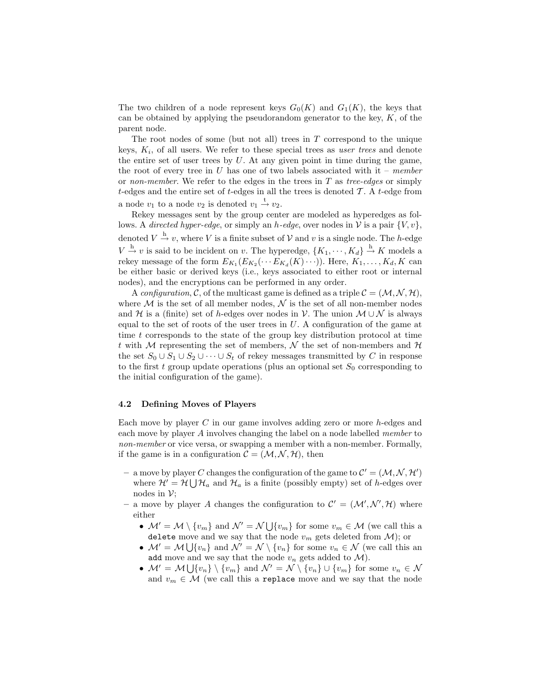The two children of a node represent keys  $G_0(K)$  and  $G_1(K)$ , the keys that can be obtained by applying the pseudorandom generator to the key,  $K$ , of the parent node.

The root nodes of some (but not all) trees in  $T$  correspond to the unique keys,  $K_i$ , of all users. We refer to these special trees as *user trees* and denote the entire set of user trees by  $U$ . At any given point in time during the game, the root of every tree in U has one of two labels associated with it – member or non-member. We refer to the edges in the trees in  $T$  as tree-edges or simply t-edges and the entire set of t-edges in all the trees is denoted  $\mathcal{T}$ . A t-edge from a node  $v_1$  to a node  $v_2$  is denoted  $v_1 \stackrel{t}{\rightarrow} v_2$ .

Rekey messages sent by the group center are modeled as hyperedges as follows. A *directed hyper-edge*, or simply an *h-edge*, over nodes in  $V$  is a pair  $\{V, v\}$ , denoted  $V \stackrel{h}{\rightarrow} v$ , where V is a finite subset of V and v is a single node. The h-edge  $V \stackrel{h}{\rightarrow} v$  is said to be incident on v. The hyperedge,  $\{K_1, \dots, K_d\} \stackrel{h}{\rightarrow} K$  models a rekey message of the form  $E_{K_1}(E_{K_2}(\cdots E_{K_d}(K)\cdots))$ . Here,  $K_1, \ldots, K_d, K$  can be either basic or derived keys (i.e., keys associated to either root or internal nodes), and the encryptions can be performed in any order.

A configuration, C, of the multicast game is defined as a triple  $\mathcal{C} = (\mathcal{M}, \mathcal{N}, \mathcal{H})$ , where  $M$  is the set of all member nodes,  $N$  is the set of all non-member nodes and H is a (finite) set of h-edges over nodes in V. The union  $M \cup N$  is always equal to the set of roots of the user trees in  $U$ . A configuration of the game at time t corresponds to the state of the group key distribution protocol at time t with M representing the set of members, N the set of non-members and  $\mathcal H$ the set  $S_0 \cup S_1 \cup S_2 \cup \cdots \cup S_t$  of rekey messages transmitted by C in response to the first t group update operations (plus an optional set  $S_0$  corresponding to the initial configuration of the game).

#### 4.2 Defining Moves of Players

Each move by player  $C$  in our game involves adding zero or more  $h$ -edges and each move by player A involves changing the label on a node labelled *member* to non-member or vice versa, or swapping a member with a non-member. Formally, if the game is in a configuration  $\mathcal{C} = (\mathcal{M}, \mathcal{N}, \mathcal{H})$ , then

- a move by player C changes the configuration of the game to  $\mathcal{C}' = (\mathcal{M}, \mathcal{N}, \mathcal{H}')$ where  $\mathcal{H}' = \mathcal{H} \bigcup \mathcal{H}_a$  and  $\mathcal{H}_a$  is a finite (possibly empty) set of h-edges over nodes in  $\mathcal{V}$ :
- a move by player A changes the configuration to  $\mathcal{C}' = (\mathcal{M}', \mathcal{N}', \mathcal{H})$  where either
	- $\mathcal{M}' = \mathcal{M} \setminus \{v_m\}$  and  $\mathcal{N}' = \mathcal{N} \cup \{v_m\}$  for some  $v_m \in \mathcal{M}$  (we call this a delete move and we say that the node  $v_m$  gets deleted from  $\mathcal{M}$ ); or
	- $\mathcal{M}' = \mathcal{M} \bigcup \{v_n\}$  and  $\mathcal{N}' = \mathcal{N} \setminus \{v_n\}$  for some  $v_n \in \mathcal{N}$  (we call this an add move and we say that the node  $v_n$  gets added to  $\mathcal{M}$ ).
	- $\mathcal{M}' = \mathcal{M} \bigcup \{v_n\} \setminus \{v_m\}$  and  $\mathcal{N}' = \mathcal{N} \setminus \{v_n\} \cup \{v_m\}$  for some  $v_n \in \mathcal{N}$ and  $v_m \in \mathcal{M}$  (we call this a replace move and we say that the node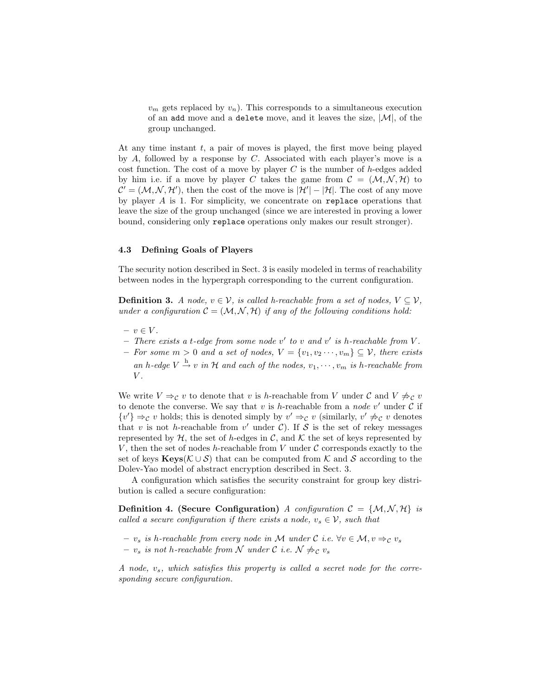$v_m$  gets replaced by  $v_n$ ). This corresponds to a simultaneous execution of an add move and a delete move, and it leaves the size,  $|\mathcal{M}|$ , of the group unchanged.

At any time instant  $t$ , a pair of moves is played, the first move being played by  $A$ , followed by a response by  $C$ . Associated with each player's move is a cost function. The cost of a move by player  $C$  is the number of h-edges added by him i.e. if a move by player C takes the game from  $\mathcal{C} = (\mathcal{M}, \mathcal{N}, \mathcal{H})$  to  $\mathcal{C}' = (\mathcal{M}, \mathcal{N}, \mathcal{H}')$ , then the cost of the move is  $|\mathcal{H}'| - |\mathcal{H}|$ . The cost of any move by player  $A$  is 1. For simplicity, we concentrate on replace operations that leave the size of the group unchanged (since we are interested in proving a lower bound, considering only replace operations only makes our result stronger).

#### 4.3 Defining Goals of Players

The security notion described in Sect. 3 is easily modeled in terms of reachability between nodes in the hypergraph corresponding to the current configuration.

**Definition 3.** A node,  $v \in \mathcal{V}$ , is called h-reachable from a set of nodes,  $V \subseteq \mathcal{V}$ , under a configuration  $\mathcal{C} = (\mathcal{M}, \mathcal{N}, \mathcal{H})$  if any of the following conditions hold:

- $v \in V$ .
- $-$  There exists a t-edge from some node  $v'$  to v and  $v'$  is h-reachable from V.
- For some  $m > 0$  and a set of nodes,  $V = \{v_1, v_2 \cdots, v_m\} \subseteq V$ , there exists an h-edge  $V \stackrel{h}{\rightarrow} v$  in  $H$  and each of the nodes,  $v_1, \dots, v_m$  is h-reachable from  $V$ .

We write  $V \Rightarrow_{\mathcal{C}} v$  to denote that v is h-reachable from V under C and V  $\neq_{\mathcal{C}} v$ to denote the converse. We say that v is h-reachable from a node  $v'$  under  $\mathcal C$  if  $\{v'\}\Rightarrow_{\mathcal{C}} v$  holds; this is denoted simply by  $v' \Rightarrow_{\mathcal{C}} v$  (similarly,  $v' \not\Rightarrow_{\mathcal{C}} v$  denotes that v is not h-reachable from  $v'$  under C). If S is the set of rekey messages represented by  $H$ , the set of h-edges in C, and K the set of keys represented by V, then the set of nodes h-reachable from V under  $\mathcal C$  corresponds exactly to the set of keys  $\text{Keys}(\mathcal{K} \cup \mathcal{S})$  that can be computed from  $\mathcal{K}$  and  $\mathcal{S}$  according to the Dolev-Yao model of abstract encryption described in Sect. 3.

A configuration which satisfies the security constraint for group key distribution is called a secure configuration:

**Definition 4.** (Secure Configuration) A configuration  $\mathcal{C} = \{M, N, \mathcal{H}\}\$ is called a secure configuration if there exists a node,  $v_s \in V$ , such that

- $-$  v<sub>s</sub> is h-reachable from every node in M under C i.e.  $\forall v \in \mathcal{M}, v \Rightarrow_{\mathcal{C}} v_s$
- $v_s$  is not h-reachable from N under C i.e. N  $\neq$ <sub>C</sub>  $v_s$

A node,  $v_s$ , which satisfies this property is called a secret node for the corresponding secure configuration.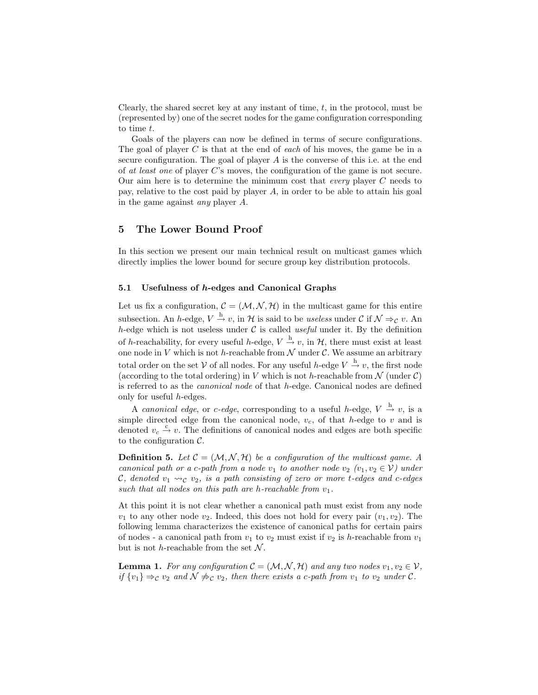Clearly, the shared secret key at any instant of time,  $t$ , in the protocol, must be (represented by) one of the secret nodes for the game configuration corresponding to time t.

Goals of the players can now be defined in terms of secure configurations. The goal of player  $C$  is that at the end of each of his moves, the game be in a secure configuration. The goal of player  $A$  is the converse of this i.e. at the end of at least one of player C's moves, the configuration of the game is not secure. Our aim here is to determine the minimum cost that *every* player  $C$  needs to pay, relative to the cost paid by player  $A$ , in order to be able to attain his goal in the game against any player A.

### 5 The Lower Bound Proof

In this section we present our main technical result on multicast games which directly implies the lower bound for secure group key distribution protocols.

#### 5.1 Usefulness of h-edges and Canonical Graphs

Let us fix a configuration,  $\mathcal{C} = (\mathcal{M}, \mathcal{N}, \mathcal{H})$  in the multicast game for this entire subsection. An h-edge,  $V \stackrel{h}{\rightarrow} v$ , in  $H$  is said to be *useless* under  $C$  if  $\mathcal{N} \Rightarrow_{\mathcal{C}} v$ . An h-edge which is not useless under  $C$  is called *useful* under it. By the definition of h-reachability, for every useful h-edge,  $V \stackrel{h}{\rightarrow} v$ , in  $H$ , there must exist at least one node in V which is not h-reachable from  $\mathcal N$  under  $\mathcal C$ . We assume an arbitrary total order on the set  $V$  of all nodes. For any useful h-edge  $V \stackrel{h}{\rightarrow} v$ , the first node (according to the total ordering) in V which is not h-reachable from  $N$  (under  $\mathcal{C}$ ) is referred to as the canonical node of that h-edge. Canonical nodes are defined only for useful h-edges.

A *canonical edge*, or *c*-edge, corresponding to a useful h-edge,  $V \stackrel{h}{\rightarrow} v$ , is a simple directed edge from the canonical node,  $v_c$ , of that h-edge to v and is denoted  $v_c \stackrel{c}{\rightarrow} v$ . The definitions of canonical nodes and edges are both specific to the configuration  $\mathcal{C}$ .

**Definition 5.** Let  $\mathcal{C} = (\mathcal{M}, \mathcal{N}, \mathcal{H})$  be a configuration of the multicast game. A canonical path or a c-path from a node  $v_1$  to another node  $v_2$   $(v_1, v_2 \in V)$  under C, denoted  $v_1 \rightarrow c v_2$ , is a path consisting of zero or more t-edges and c-edges such that all nodes on this path are h-reachable from  $v_1$ .

At this point it is not clear whether a canonical path must exist from any node  $v_1$  to any other node  $v_2$ . Indeed, this does not hold for every pair  $(v_1, v_2)$ . The following lemma characterizes the existence of canonical paths for certain pairs of nodes - a canonical path from  $v_1$  to  $v_2$  must exist if  $v_2$  is h-reachable from  $v_1$ but is not h-reachable from the set  $N$ .

**Lemma 1.** For any configuration  $\mathcal{C} = (\mathcal{M}, \mathcal{N}, \mathcal{H})$  and any two nodes  $v_1, v_2 \in \mathcal{V}$ , if  $\{v_1\} \Rightarrow_c v_2$  and  $\mathcal{N} \not\Rightarrow_c v_2$ , then there exists a c-path from  $v_1$  to  $v_2$  under C.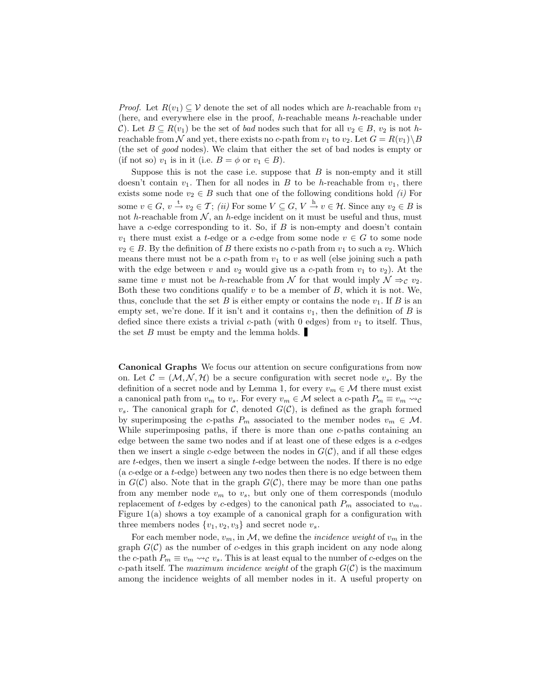*Proof.* Let  $R(v_1) \subseteq V$  denote the set of all nodes which are h-reachable from  $v_1$ (here, and everywhere else in the proof, h-reachable means h-reachable under C). Let  $B \subseteq R(v_1)$  be the set of *bad* nodes such that for all  $v_2 \in B$ ,  $v_2$  is not *h*reachable from N and yet, there exists no c-path from  $v_1$  to  $v_2$ . Let  $G = R(v_1) \setminus B$ (the set of good nodes). We claim that either the set of bad nodes is empty or (if not so)  $v_1$  is in it (i.e.  $B = \phi$  or  $v_1 \in B$ ).

Suppose this is not the case i.e. suppose that  $B$  is non-empty and it still doesn't contain  $v_1$ . Then for all nodes in B to be h-reachable from  $v_1$ , there exists some node  $v_2 \in B$  such that one of the following conditions hold (i) For some  $v \in G$ ,  $v \stackrel{t}{\rightarrow} v_2 \in \mathcal{T}$ ; (ii) For some  $V \subseteq G$ ,  $V \stackrel{h}{\rightarrow} v \in \mathcal{H}$ . Since any  $v_2 \in B$  is not h-reachable from  $N$ , an h-edge incident on it must be useful and thus, must have a c-edge corresponding to it. So, if  $B$  is non-empty and doesn't contain  $v_1$  there must exist a t-edge or a c-edge from some node  $v \in G$  to some node  $v_2 \in B$ . By the definition of B there exists no c-path from  $v_1$  to such a  $v_2$ . Which means there must not be a c-path from  $v_1$  to v as well (else joining such a path with the edge between v and  $v_2$  would give us a c-path from  $v_1$  to  $v_2$ ). At the same time v must not be h-reachable from N for that would imply  $\mathcal{N} \Rightarrow_{\mathcal{C}} v_2$ . Both these two conditions qualify  $v$  to be a member of  $B$ , which it is not. We, thus, conclude that the set B is either empty or contains the node  $v_1$ . If B is an empty set, we're done. If it isn't and it contains  $v_1$ , then the definition of B is defied since there exists a trivial c-path (with 0 edges) from  $v_1$  to itself. Thus, the set  $B$  must be empty and the lemma holds.

Canonical Graphs We focus our attention on secure configurations from now on. Let  $\mathcal{C} = (\mathcal{M}, \mathcal{N}, \mathcal{H})$  be a secure configuration with secret node  $v_s$ . By the definition of a secret node and by Lemma 1, for every  $v_m \in \mathcal{M}$  there must exist a canonical path from  $v_m$  to  $v_s$ . For every  $v_m \in \mathcal{M}$  select a c-path  $P_m \equiv v_m \leadsto_{\mathcal{C}}$  $v_s$ . The canonical graph for C, denoted  $G(\mathcal{C})$ , is defined as the graph formed by superimposing the c-paths  $P_m$  associated to the member nodes  $v_m \in \mathcal{M}$ . While superimposing paths, if there is more than one c-paths containing an edge between the same two nodes and if at least one of these edges is a c-edges then we insert a single c-edge between the nodes in  $G(\mathcal{C})$ , and if all these edges are t-edges, then we insert a single t-edge between the nodes. If there is no edge (a c-edge or a t-edge) between any two nodes then there is no edge between them in  $G(\mathcal{C})$  also. Note that in the graph  $G(\mathcal{C})$ , there may be more than one paths from any member node  $v_m$  to  $v_s$ , but only one of them corresponds (modulo replacement of t-edges by c-edges) to the canonical path  $P_m$  associated to  $v_m$ . Figure  $1(a)$  shows a toy example of a canonical graph for a configuration with three members nodes  $\{v_1, v_2, v_3\}$  and secret node  $v_s$ .

For each member node,  $v_m$ , in M, we define the *incidence weight* of  $v_m$  in the graph  $G(\mathcal{C})$  as the number of c-edges in this graph incident on any node along the c-path  $P_m \equiv v_m \leadsto_{\mathcal{C}} v_s$ . This is at least equal to the number of c-edges on the c-path itself. The maximum incidence weight of the graph  $G(\mathcal{C})$  is the maximum among the incidence weights of all member nodes in it. A useful property on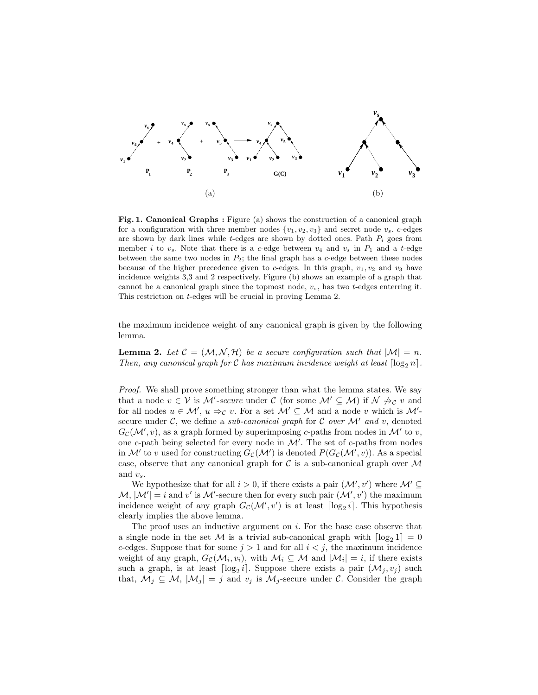

Fig. 1. Canonical Graphs : Figure (a) shows the construction of a canonical graph for a configuration with three member nodes  $\{v_1, v_2, v_3\}$  and secret node  $v_s$ . c-edges are shown by dark lines while t-edges are shown by dotted ones. Path  $P_i$  goes from member i to  $v_s$ . Note that there is a c-edge between  $v_4$  and  $v_s$  in  $P_1$  and a t-edge between the same two nodes in  $P_2$ ; the final graph has a c-edge between these nodes because of the higher precedence given to c-edges. In this graph,  $v_1, v_2$  and  $v_3$  have incidence weights 3,3 and 2 respectively. Figure (b) shows an example of a graph that cannot be a canonical graph since the topmost node,  $v_s$ , has two t-edges enterring it. This restriction on t-edges will be crucial in proving Lemma 2.

the maximum incidence weight of any canonical graph is given by the following lemma.

**Lemma 2.** Let  $C = (\mathcal{M}, \mathcal{N}, \mathcal{H})$  be a secure configuration such that  $|\mathcal{M}| = n$ . Then, any canonical graph for C has maximum incidence weight at least  $\lceil \log_2 n \rceil$ .

Proof. We shall prove something stronger than what the lemma states. We say that a node  $v \in V$  is M'-secure under C (for some  $\mathcal{M}' \subseteq \mathcal{M}$ ) if  $\mathcal{N} \not\Rightarrow_{\mathcal{C}} v$  and for all nodes  $u \in \mathcal{M}'$ ,  $u \Rightarrow_{\mathcal{C}} v$ . For a set  $\mathcal{M}' \subseteq \mathcal{M}$  and a node v which is  $\mathcal{M}'$ secure under C, we define a sub-canonical graph for C over  $\mathcal{M}'$  and v, denoted  $G_{\mathcal{C}}(\mathcal{M}', v)$ , as a graph formed by superimposing c-paths from nodes in  $\mathcal{M}'$  to  $v$ , one  $c$ -path being selected for every node in  $\mathcal{M}'$ . The set of  $c$ -paths from nodes in M' to v used for constructing  $G_{\mathcal{C}}(\mathcal{M}')$  is denoted  $P(G_{\mathcal{C}}(\mathcal{M}', v))$ . As a special case, observe that any canonical graph for  $\mathcal C$  is a sub-canonical graph over  $\mathcal M$ and  $v_s$ .

We hypothesize that for all  $i > 0$ , if there exists a pair  $(\mathcal{M}', v')$  where  $\mathcal{M}' \subseteq$  $\mathcal{M}, |\mathcal{M}'| = i$  and v' is  $\mathcal{M}'$ -secure then for every such pair  $(\mathcal{M}', v')$  the maximum incidence weight of any graph  $G_{\mathcal{C}}(\mathcal{M}', v')$  is at least  $\lceil \log_2 i \rceil$ . This hypothesis clearly implies the above lemma.

The proof uses an inductive argument on  $i$ . For the base case observe that a single node in the set M is a trivial sub-canonical graph with  $\lceil \log_2 1 \rceil = 0$ c-edges. Suppose that for some  $j > 1$  and for all  $i < j$ , the maximum incidence weight of any graph,  $G_{\mathcal{C}}(\mathcal{M}_i, v_i)$ , with  $\mathcal{M}_i \subseteq \mathcal{M}$  and  $|\mathcal{M}_i| = i$ , if there exists such a graph, is at least  $\lceil \log_2 i \rceil$ . Suppose there exists a pair  $(\mathcal{M}_j, v_j)$  such that,  $\mathcal{M}_j \subseteq \mathcal{M}, |\mathcal{M}_j| = j$  and  $v_j$  is  $\mathcal{M}_j$ -secure under C. Consider the graph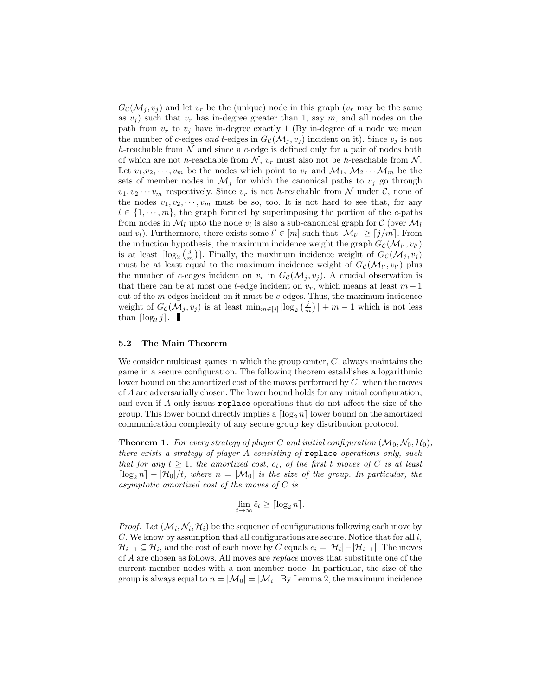$G_{\mathcal{C}}(\mathcal{M}_i, v_i)$  and let  $v_r$  be the (unique) node in this graph  $(v_r$  may be the same as  $v_j$ ) such that  $v_r$  has in-degree greater than 1, say m, and all nodes on the path from  $v_r$  to  $v_j$  have in-degree exactly 1 (By in-degree of a node we mean the number of c-edges and t-edges in  $G_{\mathcal{C}}(\mathcal{M}_j, v_j)$  incident on it). Since  $v_j$  is not h-reachable from  $N$  and since a c-edge is defined only for a pair of nodes both of which are not h-reachable from  $N$ ,  $v_r$  must also not be h-reachable from  $N$ . Let  $v_1, v_2, \dots, v_m$  be the nodes which point to  $v_r$  and  $\mathcal{M}_1, \mathcal{M}_2 \cdots \mathcal{M}_m$  be the sets of member nodes in  $\mathcal{M}_i$  for which the canonical paths to  $v_i$  go through  $v_1, v_2 \cdots v_m$  respectively. Since  $v_r$  is not h-reachable from N under C, none of the nodes  $v_1, v_2, \dots, v_m$  must be so, too. It is not hard to see that, for any  $l \in \{1, \dots, m\}$ , the graph formed by superimposing the portion of the c-paths from nodes in  $\mathcal{M}_l$  upto the node  $v_l$  is also a sub-canonical graph for  $\mathcal{C}$  (over  $\mathcal{M}_l$ and  $v_l$ ). Furthermore, there exists some  $l' \in [m]$  such that  $|\mathcal{M}_{l'}| \geq [j/m]$ . From the induction hypothesis, the maximum incidence weight the graph  $G_{\mathcal{C}}(\mathcal{M}_{l'}, v_{l'})$ is at least  $\lceil \log_2(\frac{j}{m}) \rceil$ . Finally, the maximum incidence weight of  $G_c(\mathcal{M}_j, v_j)$ must be at least equal to the maximum incidence weight of  $G_{\mathcal{C}}(\mathcal{M}_{l'}, v_{l'})$  plus the number of c-edges incident on  $v_r$  in  $G_c(\mathcal{M}_j, v_j)$ . A crucial observation is that there can be at most one t-edge incident on  $v_r$ , which means at least  $m-1$ out of the  $m$  edges incident on it must be  $c$ -edges. Thus, the maximum incidence weight of  $G_{\mathcal{C}}(\mathcal{M}_j, v_j)$  is at least  $\min_{m \in [j]} \lceil \log_2(\frac{j}{m}) \rceil + m - 1$  which is not less than  $\lceil \log_2 j \rceil$ .

#### 5.2 The Main Theorem

We consider multicast games in which the group center,  $C$ , always maintains the game in a secure configuration. The following theorem establishes a logarithmic lower bound on the amortized cost of the moves performed by  $C$ , when the moves of A are adversarially chosen. The lower bound holds for any initial configuration, and even if A only issues replace operations that do not affect the size of the group. This lower bound directly implies a  $\lceil \log_2 n \rceil$  lower bound on the amortized communication complexity of any secure group key distribution protocol.

**Theorem 1.** For every strategy of player C and initial configuration  $(\mathcal{M}_0, \mathcal{N}_0, \mathcal{H}_0)$ , there exists a strategy of player A consisting of replace operations only, such that for any  $t \geq 1$ , the amortized cost,  $\tilde{c}_t$ , of the first t moves of C is at least  $\lceil \log_2 n \rceil - |\mathcal{H}_0|/t$ , where  $n = |\mathcal{M}_0|$  is the size of the group. In particular, the asymptotic amortized cost of the moves of C is

$$
\lim_{t \to \infty} \tilde{c}_t \ge \lceil \log_2 n \rceil.
$$

*Proof.* Let  $(\mathcal{M}_i, \mathcal{N}_i, \mathcal{H}_i)$  be the sequence of configurations following each move by C. We know by assumption that all configurations are secure. Notice that for all  $i$ ,  $\mathcal{H}_{i-1} \subseteq \mathcal{H}_i$ , and the cost of each move by C equals  $c_i = |\mathcal{H}_i| - |\mathcal{H}_{i-1}|$ . The moves of A are chosen as follows. All moves are replace moves that substitute one of the current member nodes with a non-member node. In particular, the size of the group is always equal to  $n = |\mathcal{M}_0| = |\mathcal{M}_i|$ . By Lemma 2, the maximum incidence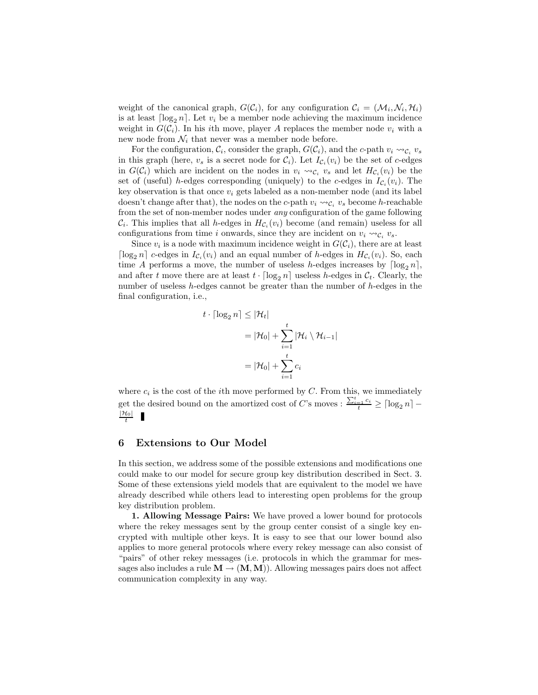weight of the canonical graph,  $G(\mathcal{C}_i)$ , for any configuration  $\mathcal{C}_i = (\mathcal{M}_i, \mathcal{N}_i, \mathcal{H}_i)$ is at least  $\lceil \log_2 n \rceil$ . Let  $v_i$  be a member node achieving the maximum incidence weight in  $G(\mathcal{C}_i)$ . In his ith move, player A replaces the member node  $v_i$  with a new node from  $\mathcal{N}_i$  that never was a member node before.

For the configuration,  $\mathcal{C}_i$ , consider the graph,  $G(\mathcal{C}_i)$ , and the c-path  $v_i \leadsto_{\mathcal{C}_i} v_s$ in this graph (here,  $v_s$  is a secret node for  $\mathcal{C}_i$ ). Let  $I_{\mathcal{C}_i}(v_i)$  be the set of c-edges in  $G(\mathcal{C}_i)$  which are incident on the nodes in  $v_i \leadsto_{\mathcal{C}_i} v_s$  and let  $H_{\mathcal{C}_i}(v_i)$  be the set of (useful) h-edges corresponding (uniquely) to the c-edges in  $I_{\mathcal{C}_i}(v_i)$ . The key observation is that once  $v_i$  gets labeled as a non-member node (and its label doesn't change after that), the nodes on the c-path  $v_i \leadsto_{\mathcal{C}_i} v_s$  become h-reachable from the set of non-member nodes under any configuration of the game following  $\mathcal{C}_i$ . This implies that all *h*-edges in  $H_{\mathcal{C}_i}(v_i)$  become (and remain) useless for all configurations from time *i* onwards, since they are incident on  $v_i \sim c_i v_s$ .

Since  $v_i$  is a node with maximum incidence weight in  $G(\mathcal{C}_i)$ , there are at least [ $\log_2 n$ ] c-edges in  $I_{\mathcal{C}_i}(v_i)$  and an equal number of h-edges in  $H_{\mathcal{C}_i}(v_i)$ . So, each time A performs a move, the number of useless h-edges increases by  $\lceil \log_2 n \rceil$ , and after t move there are at least  $t \cdot \lceil \log_2 n \rceil$  useless h-edges in  $\mathcal{C}_t$ . Clearly, the number of useless  $h$ -edges cannot be greater than the number of  $h$ -edges in the final configuration, i.e.,

$$
t \cdot \lceil \log_2 n \rceil \le |\mathcal{H}_t|
$$
  
=  $|\mathcal{H}_0| + \sum_{i=1}^t |\mathcal{H}_i \setminus \mathcal{H}_{i-1}|$   
=  $|\mathcal{H}_0| + \sum_{i=1}^t c_i$ 

where  $c_i$  is the cost of the *i*th move performed by  $C$ . From this, we immediately get the desired bound on the amortized cost of C's moves :  $\frac{\sum_{i=1}^{t} c_i}{t} \geq \lceil \log_2 n \rceil |\mathcal{H}_0|$ t

### 6 Extensions to Our Model

In this section, we address some of the possible extensions and modifications one could make to our model for secure group key distribution described in Sect. 3. Some of these extensions yield models that are equivalent to the model we have already described while others lead to interesting open problems for the group key distribution problem.

1. Allowing Message Pairs: We have proved a lower bound for protocols where the rekey messages sent by the group center consist of a single key encrypted with multiple other keys. It is easy to see that our lower bound also applies to more general protocols where every rekey message can also consist of "pairs" of other rekey messages (i.e. protocols in which the grammar for messages also includes a rule  $M \to (M, M)$ . Allowing messages pairs does not affect communication complexity in any way.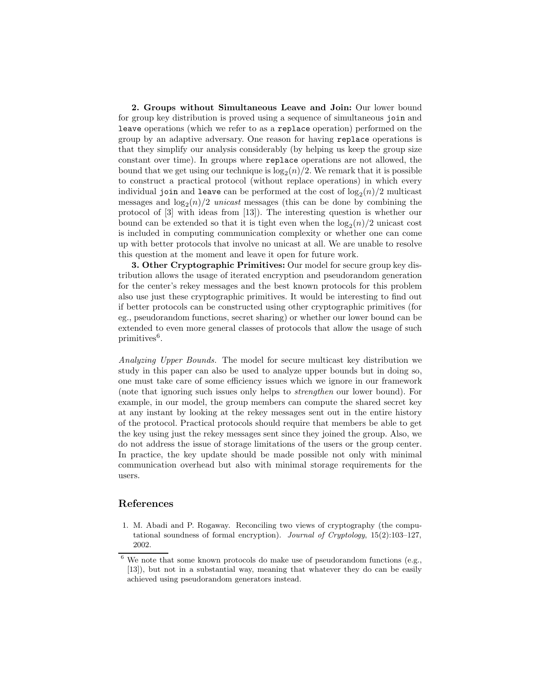2. Groups without Simultaneous Leave and Join: Our lower bound for group key distribution is proved using a sequence of simultaneous join and leave operations (which we refer to as a replace operation) performed on the group by an adaptive adversary. One reason for having replace operations is that they simplify our analysis considerably (by helping us keep the group size constant over time). In groups where replace operations are not allowed, the bound that we get using our technique is  $\log_2(n)/2$ . We remark that it is possible to construct a practical protocol (without replace operations) in which every individual join and leave can be performed at the cost of  $\log_2(n)/2$  multicast messages and  $log_2(n)/2$  unicast messages (this can be done by combining the protocol of [3] with ideas from [13]). The interesting question is whether our bound can be extended so that it is tight even when the  $\log_2(n)/2$  unicast cost is included in computing communication complexity or whether one can come up with better protocols that involve no unicast at all. We are unable to resolve this question at the moment and leave it open for future work.

3. Other Cryptographic Primitives: Our model for secure group key distribution allows the usage of iterated encryption and pseudorandom generation for the center's rekey messages and the best known protocols for this problem also use just these cryptographic primitives. It would be interesting to find out if better protocols can be constructed using other cryptographic primitives (for eg., pseudorandom functions, secret sharing) or whether our lower bound can be extended to even more general classes of protocols that allow the usage of such primitives<sup>6</sup>.

Analyzing Upper Bounds. The model for secure multicast key distribution we study in this paper can also be used to analyze upper bounds but in doing so, one must take care of some efficiency issues which we ignore in our framework (note that ignoring such issues only helps to strengthen our lower bound). For example, in our model, the group members can compute the shared secret key at any instant by looking at the rekey messages sent out in the entire history of the protocol. Practical protocols should require that members be able to get the key using just the rekey messages sent since they joined the group. Also, we do not address the issue of storage limitations of the users or the group center. In practice, the key update should be made possible not only with minimal communication overhead but also with minimal storage requirements for the users.

# References

1. M. Abadi and P. Rogaway. Reconciling two views of cryptography (the computational soundness of formal encryption). Journal of Cryptology, 15(2):103–127, 2002.

 $6$  We note that some known protocols do make use of pseudorandom functions (e.g., [13]), but not in a substantial way, meaning that whatever they do can be easily achieved using pseudorandom generators instead.